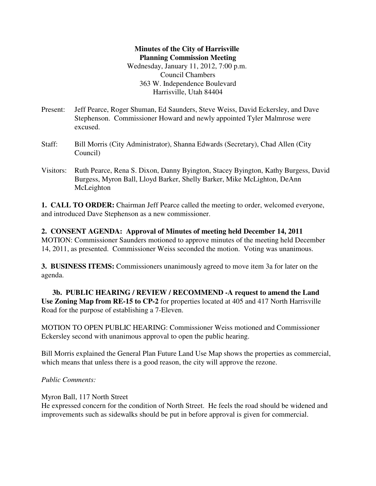## **Minutes of the City of Harrisville Planning Commission Meeting** Wednesday, January 11, 2012, 7:00 p.m. Council Chambers 363 W. Independence Boulevard Harrisville, Utah 84404

- Present: Jeff Pearce, Roger Shuman, Ed Saunders, Steve Weiss, David Eckersley, and Dave Stephenson. Commissioner Howard and newly appointed Tyler Malmrose were excused.
- Staff: Bill Morris (City Administrator), Shanna Edwards (Secretary), Chad Allen (City Council)
- Visitors: Ruth Pearce, Rena S. Dixon, Danny Byington, Stacey Byington, Kathy Burgess, David Burgess, Myron Ball, Lloyd Barker, Shelly Barker, Mike McLighton, DeAnn McLeighton

**1. CALL TO ORDER:** Chairman Jeff Pearce called the meeting to order, welcomed everyone, and introduced Dave Stephenson as a new commissioner.

**2. CONSENT AGENDA: Approval of Minutes of meeting held December 14, 2011** MOTION: Commissioner Saunders motioned to approve minutes of the meeting held December 14, 2011, as presented. Commissioner Weiss seconded the motion. Voting was unanimous.

**3. BUSINESS ITEMS:** Commissioners unanimously agreed to move item 3a for later on the agenda.

**3b. PUBLIC HEARING / REVIEW / RECOMMEND -A request to amend the Land Use Zoning Map from RE-15 to CP-2** for properties located at 405 and 417 North Harrisville Road for the purpose of establishing a 7-Eleven.

MOTION TO OPEN PUBLIC HEARING: Commissioner Weiss motioned and Commissioner Eckersley second with unanimous approval to open the public hearing.

Bill Morris explained the General Plan Future Land Use Map shows the properties as commercial, which means that unless there is a good reason, the city will approve the rezone.

*Public Comments:*

Myron Ball, 117 North Street

He expressed concern for the condition of North Street. He feels the road should be widened and improvements such as sidewalks should be put in before approval is given for commercial.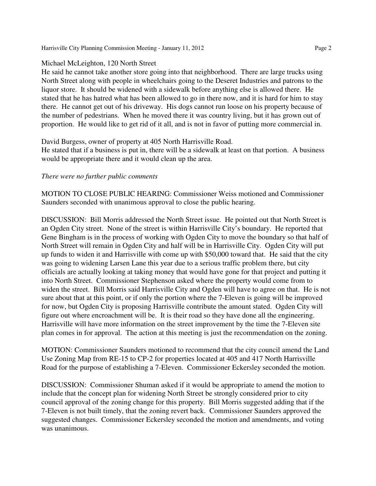Harrisville City Planning Commission Meeting - January 11, 2012 Page 2

### Michael McLeighton, 120 North Street

He said he cannot take another store going into that neighborhood. There are large trucks using North Street along with people in wheelchairs going to the Deseret Industries and patrons to the liquor store. It should be widened with a sidewalk before anything else is allowed there. He stated that he has hatred what has been allowed to go in there now, and it is hard for him to stay there. He cannot get out of his driveway. His dogs cannot run loose on his property because of the number of pedestrians. When he moved there it was country living, but it has grown out of proportion. He would like to get rid of it all, and is not in favor of putting more commercial in.

David Burgess, owner of property at 405 North Harrisville Road.

He stated that if a business is put in, there will be a sidewalk at least on that portion. A business would be appropriate there and it would clean up the area.

#### *There were no further public comments*

MOTION TO CLOSE PUBLIC HEARING: Commissioner Weiss motioned and Commissioner Saunders seconded with unanimous approval to close the public hearing.

DISCUSSION: Bill Morris addressed the North Street issue. He pointed out that North Street is an Ogden City street. None of the street is within Harrisville City's boundary. He reported that Gene Bingham is in the process of working with Ogden City to move the boundary so that half of North Street will remain in Ogden City and half will be in Harrisville City. Ogden City will put up funds to widen it and Harrisville with come up with \$50,000 toward that. He said that the city was going to widening Larsen Lane this year due to a serious traffic problem there, but city officials are actually looking at taking money that would have gone for that project and putting it into North Street. Commissioner Stephenson asked where the property would come from to widen the street. Bill Morris said Harrisville City and Ogden will have to agree on that. He is not sure about that at this point, or if only the portion where the 7-Eleven is going will be improved for now, but Ogden City is proposing Harrisville contribute the amount stated. Ogden City will figure out where encroachment will be. It is their road so they have done all the engineering. Harrisville will have more information on the street improvement by the time the 7-Eleven site plan comes in for approval. The action at this meeting is just the recommendation on the zoning.

MOTION: Commissioner Saunders motioned to recommend that the city council amend the Land Use Zoning Map from RE-15 to CP-2 for properties located at 405 and 417 North Harrisville Road for the purpose of establishing a 7-Eleven. Commissioner Eckersley seconded the motion.

DISCUSSION: Commissioner Shuman asked if it would be appropriate to amend the motion to include that the concept plan for widening North Street be strongly considered prior to city council approval of the zoning change for this property. Bill Morris suggested adding that if the 7-Eleven is not built timely, that the zoning revert back. Commissioner Saunders approved the suggested changes. Commissioner Eckersley seconded the motion and amendments, and voting was unanimous.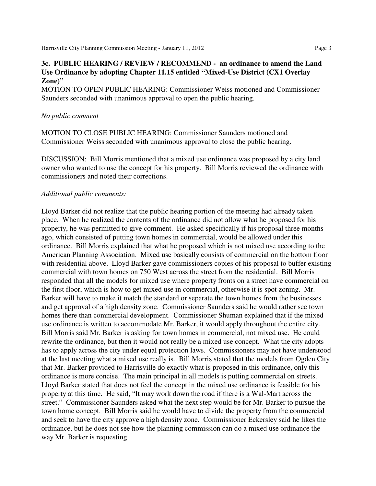### **3c. PUBLIC HEARING / REVIEW / RECOMMEND - an ordinance to amend the Land Use Ordinance by adopting Chapter 11.15 entitled "Mixed-Use District (CX1 Overlay Zone)"**

MOTION TO OPEN PUBLIC HEARING: Commissioner Weiss motioned and Commissioner Saunders seconded with unanimous approval to open the public hearing.

#### *No public comment*

MOTION TO CLOSE PUBLIC HEARING: Commissioner Saunders motioned and Commissioner Weiss seconded with unanimous approval to close the public hearing.

DISCUSSION: Bill Morris mentioned that a mixed use ordinance was proposed by a city land owner who wanted to use the concept for his property. Bill Morris reviewed the ordinance with commissioners and noted their corrections.

#### *Additional public comments:*

Lloyd Barker did not realize that the public hearing portion of the meeting had already taken place. When he realized the contents of the ordinance did not allow what he proposed for his property, he was permitted to give comment. He asked specifically if his proposal three months ago, which consisted of putting town homes in commercial, would be allowed under this ordinance. Bill Morris explained that what he proposed which is not mixed use according to the American Planning Association. Mixed use basically consists of commercial on the bottom floor with residential above. Lloyd Barker gave commissioners copies of his proposal to buffer existing commercial with town homes on 750 West across the street from the residential. Bill Morris responded that all the models for mixed use where property fronts on a street have commercial on the first floor, which is how to get mixed use in commercial, otherwise it is spot zoning. Mr. Barker will have to make it match the standard or separate the town homes from the businesses and get approval of a high density zone. Commissioner Saunders said he would rather see town homes there than commercial development. Commissioner Shuman explained that if the mixed use ordinance is written to accommodate Mr. Barker, it would apply throughout the entire city. Bill Morris said Mr. Barker is asking for town homes in commercial, not mixed use. He could rewrite the ordinance, but then it would not really be a mixed use concept. What the city adopts has to apply across the city under equal protection laws. Commissioners may not have understood at the last meeting what a mixed use really is. Bill Morris stated that the models from Ogden City that Mr. Barker provided to Harrisville do exactly what is proposed in this ordinance, only this ordinance is more concise. The main principal in all models is putting commercial on streets. Lloyd Barker stated that does not feel the concept in the mixed use ordinance is feasible for his property at this time. He said, "It may work down the road if there is a Wal-Mart across the street." Commissioner Saunders asked what the next step would be for Mr. Barker to pursue the town home concept. Bill Morris said he would have to divide the property from the commercial and seek to have the city approve a high density zone. Commissioner Eckersley said he likes the ordinance, but he does not see how the planning commission can do a mixed use ordinance the way Mr. Barker is requesting.